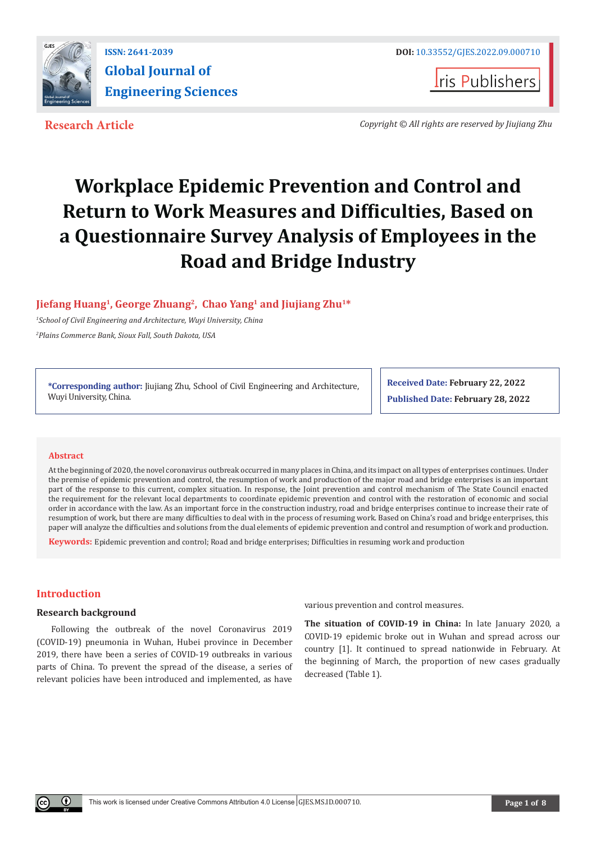



**Research Article** *Copyright © All rights are reserved by Jiujiang Zhu*

# **Workplace Epidemic Prevention and Control and Return to Work Measures and Difficulties, Based on a Questionnaire Survey Analysis of Employees in the Road and Bridge Industry**

# **Jiefang Huang1, George Zhuang<sup>2</sup>, Chao Yang<sup>1</sup> and Jiujiang Zhu1\***

*1 School of Civil Engineering and Architecture, Wuyi University, China 2 Plains Commerce Bank, Sioux Fall, South Dakota, USA*

**\*Corresponding author:** Jiujiang Zhu, School of Civil Engineering and Architecture, Wuyi University, China.

**Received Date: February 22, 2022 Published Date: February 28, 2022**

## **Abstract**

At the beginning of 2020, the novel coronavirus outbreak occurred in many places in China, and its impact on all types of enterprises continues. Under the premise of epidemic prevention and control, the resumption of work and production of the major road and bridge enterprises is an important part of the response to this current, complex situation. In response, the Joint prevention and control mechanism of The State Council enacted the requirement for the relevant local departments to coordinate epidemic prevention and control with the restoration of economic and social order in accordance with the law. As an important force in the construction industry, road and bridge enterprises continue to increase their rate of resumption of work, but there are many difficulties to deal with in the process of resuming work. Based on China's road and bridge enterprises, this paper will analyze the difficulties and solutions from the dual elements of epidemic prevention and control and resumption of work and production.

**Keywords:** Epidemic prevention and control; Road and bridge enterprises; Difficulties in resuming work and production

## **Introduction**

## **Research background**

Following the outbreak of the novel Coronavirus 2019 (COVID-19) pneumonia in Wuhan, Hubei province in December 2019, there have been a series of COVID-19 outbreaks in various parts of China. To prevent the spread of the disease, a series of relevant policies have been introduced and implemented, as have

various prevention and control measures.

**The situation of COVID-19 in China:** In late January 2020, a COVID-19 epidemic broke out in Wuhan and spread across our country [1]. It continued to spread nationwide in February. At the beginning of March, the proportion of new cases gradually decreased (Table 1).

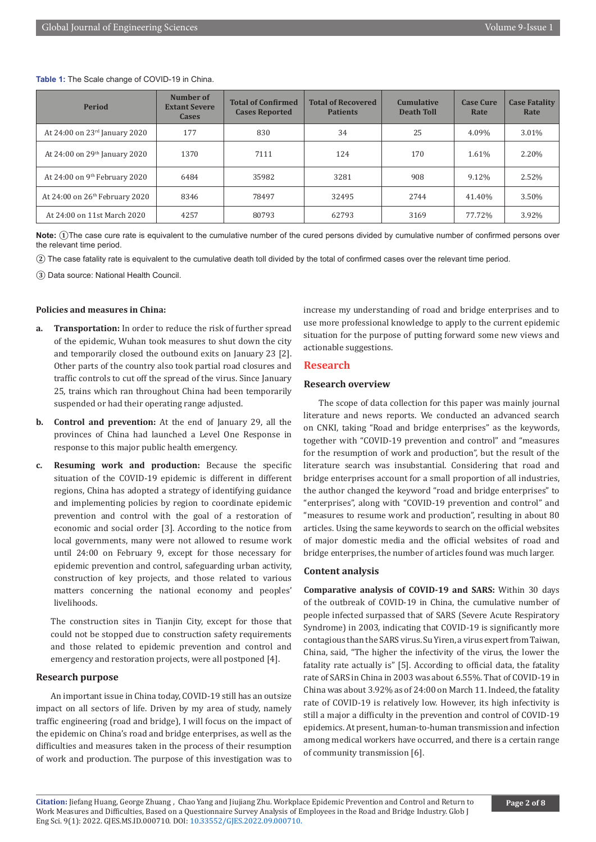#### **Table 1:** The Scale change of COVID-19 in China.

| <b>Period</b>                              | Number of<br><b>Extant Severe</b><br><b>Cases</b> | <b>Total of Confirmed</b><br><b>Cases Reported</b> | <b>Total of Recovered</b><br><b>Patients</b> | <b>Cumulative</b><br><b>Death Toll</b> | <b>Case Cure</b><br>Rate | <b>Case Fatality</b><br>Rate |
|--------------------------------------------|---------------------------------------------------|----------------------------------------------------|----------------------------------------------|----------------------------------------|--------------------------|------------------------------|
| At 24:00 on 23rd January 2020              | 177                                               | 830                                                | 34                                           | 25                                     | 4.09%                    | 3.01%                        |
| At 24:00 on 29th January 2020              | 1370                                              | 7111                                               | 124                                          | 170                                    | 1.61%                    | 2.20%                        |
| At 24:00 on 9 <sup>th</sup> February 2020  | 6484                                              | 35982                                              | 3281                                         | 908                                    | 9.12%                    | 2.52%                        |
| At 24:00 on 26 <sup>th</sup> February 2020 | 8346                                              | 78497                                              | 32495                                        | 2744                                   | 41.40%                   | 3.50%                        |
| At 24:00 on 11st March 2020                | 4257                                              | 80793                                              | 62793                                        | 3169                                   | 77.72%                   | 3.92%                        |

**Note: ①**The case cure rate is equivalent to the cumulative number of the cured persons divided by cumulative number of confirmed persons over the relevant time period.

**②** The case fatality rate is equivalent to the cumulative death toll divided by the total of confirmed cases over the relevant time period.

**③** Data source: National Health Council.

## **Policies and measures in China:**

- **a. Transportation:** In order to reduce the risk of further spread of the epidemic, Wuhan took measures to shut down the city and temporarily closed the outbound exits on January 23 [2]. Other parts of the country also took partial road closures and traffic controls to cut off the spread of the virus. Since January 25, trains which ran throughout China had been temporarily suspended or had their operating range adjusted.
- **b. Control and prevention:** At the end of January 29, all the provinces of China had launched a Level One Response in response to this major public health emergency.
- **c. Resuming work and production:** Because the specific situation of the COVID-19 epidemic is different in different regions, China has adopted a strategy of identifying guidance and implementing policies by region to coordinate epidemic prevention and control with the goal of a restoration of economic and social order [3]. According to the notice from local governments, many were not allowed to resume work until 24:00 on February 9, except for those necessary for epidemic prevention and control, safeguarding urban activity, construction of key projects, and those related to various matters concerning the national economy and peoples' livelihoods.

The construction sites in Tianjin City, except for those that could not be stopped due to construction safety requirements and those related to epidemic prevention and control and emergency and restoration projects, were all postponed [4].

#### **Research purpose**

An important issue in China today, COVID-19 still has an outsize impact on all sectors of life. Driven by my area of study, namely traffic engineering (road and bridge), I will focus on the impact of the epidemic on China's road and bridge enterprises, as well as the difficulties and measures taken in the process of their resumption of work and production. The purpose of this investigation was to

increase my understanding of road and bridge enterprises and to use more professional knowledge to apply to the current epidemic situation for the purpose of putting forward some new views and actionable suggestions.

## **Research**

## **Research overview**

The scope of data collection for this paper was mainly journal literature and news reports. We conducted an advanced search on CNKI, taking "Road and bridge enterprises" as the keywords, together with "COVID-19 prevention and control" and "measures for the resumption of work and production", but the result of the literature search was insubstantial. Considering that road and bridge enterprises account for a small proportion of all industries, the author changed the keyword "road and bridge enterprises" to "enterprises", along with "COVID-19 prevention and control" and "measures to resume work and production", resulting in about 80 articles. Using the same keywords to search on the official websites of major domestic media and the official websites of road and bridge enterprises, the number of articles found was much larger.

#### **Content analysis**

**Comparative analysis of COVID-19 and SARS:** Within 30 days of the outbreak of COVID-19 in China, the cumulative number of people infected surpassed that of SARS (Severe Acute Respiratory Syndrome) in 2003, indicating that COVID-19 is significantly more contagious than the SARS virus. Su Yiren, a virus expert from Taiwan, China, said, "The higher the infectivity of the virus, the lower the fatality rate actually is" [5]. According to official data, the fatality rate of SARS in China in 2003 was about 6.55%. That of COVID-19 in China was about 3.92% as of 24:00 on March 11. Indeed, the fatality rate of COVID-19 is relatively low. However, its high infectivity is still a major a difficulty in the prevention and control of COVID-19 epidemics. At present, human-to-human transmission and infection among medical workers have occurred, and there is a certain range of community transmission [6].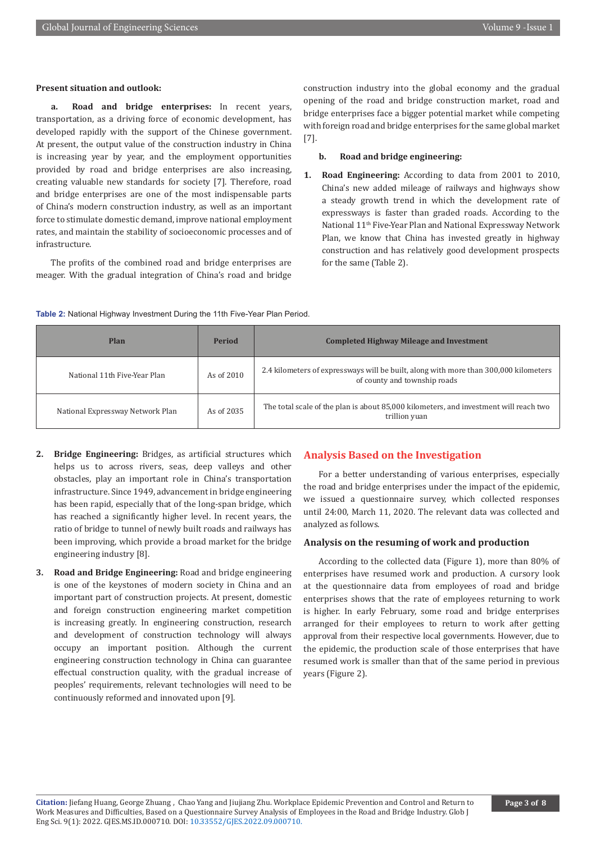#### **Present situation and outlook:**

**a. Road and bridge enterprises:** In recent years, transportation, as a driving force of economic development, has developed rapidly with the support of the Chinese government. At present, the output value of the construction industry in China is increasing year by year, and the employment opportunities provided by road and bridge enterprises are also increasing, creating valuable new standards for society [7]. Therefore, road and bridge enterprises are one of the most indispensable parts of China's modern construction industry, as well as an important force to stimulate domestic demand, improve national employment rates, and maintain the stability of socioeconomic processes and of infrastructure.

The profits of the combined road and bridge enterprises are meager. With the gradual integration of China's road and bridge construction industry into the global economy and the gradual opening of the road and bridge construction market, road and bridge enterprises face a bigger potential market while competing with foreign road and bridge enterprises for the same global market [7].

#### **b. Road and bridge engineering:**

**1. Road Engineering:** According to data from 2001 to 2010, China's new added mileage of railways and highways show a steady growth trend in which the development rate of expressways is faster than graded roads. According to the National 11th Five-Year Plan and National Expressway Network Plan, we know that China has invested greatly in highway construction and has relatively good development prospects for the same (Table 2).

#### **Table 2:** National Highway Investment During the 11th Five-Year Plan Period.

| Plan                             | <b>Period</b> | <b>Completed Highway Mileage and Investment</b>                                                                      |
|----------------------------------|---------------|----------------------------------------------------------------------------------------------------------------------|
| National 11th Five-Year Plan     | As of 2010    | 2.4 kilometers of expressways will be built, along with more than 300,000 kilometers<br>of county and township roads |
| National Expressway Network Plan | As of 2035    | The total scale of the plan is about 85,000 kilometers, and investment will reach two<br>trillion yuan               |

- **2. Bridge Engineering:** Bridges, as artificial structures which helps us to across rivers, seas, deep valleys and other obstacles, play an important role in China's transportation infrastructure. Since 1949, advancement in bridge engineering has been rapid, especially that of the long-span bridge, which has reached a significantly higher level. In recent years, the ratio of bridge to tunnel of newly built roads and railways has been improving, which provide a broad market for the bridge engineering industry [8].
- **3. Road and Bridge Engineering:** Road and bridge engineering is one of the keystones of modern society in China and an important part of construction projects. At present, domestic and foreign construction engineering market competition is increasing greatly. In engineering construction, research and development of construction technology will always occupy an important position. Although the current engineering construction technology in China can guarantee effectual construction quality, with the gradual increase of peoples' requirements, relevant technologies will need to be continuously reformed and innovated upon [9].

## **Analysis Based on the Investigation**

For a better understanding of various enterprises, especially the road and bridge enterprises under the impact of the epidemic, we issued a questionnaire survey, which collected responses until 24:00, March 11, 2020. The relevant data was collected and analyzed as follows.

## **Analysis on the resuming of work and production**

According to the collected data (Figure 1), more than 80% of enterprises have resumed work and production. A cursory look at the questionnaire data from employees of road and bridge enterprises shows that the rate of employees returning to work is higher. In early February, some road and bridge enterprises arranged for their employees to return to work after getting approval from their respective local governments. However, due to the epidemic, the production scale of those enterprises that have resumed work is smaller than that of the same period in previous years (Figure 2).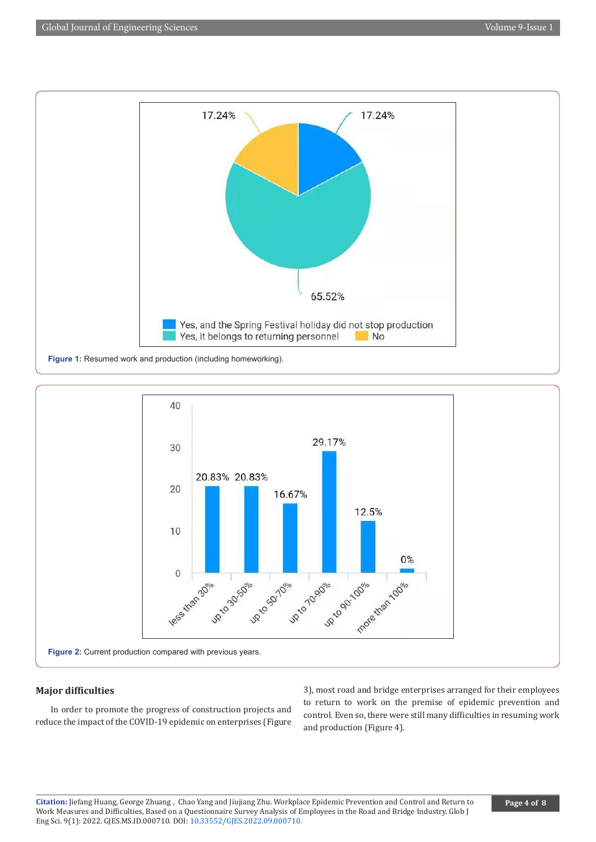



## **Major difficulties**

In order to promote the progress of construction projects and reduce the impact of the COVID-19 epidemic on enterprises (Figure 3), most road and bridge enterprises arranged for their employees to return to work on the premise of epidemic prevention and control. Even so, there were still many difficulties in resuming work and production (Figure 4).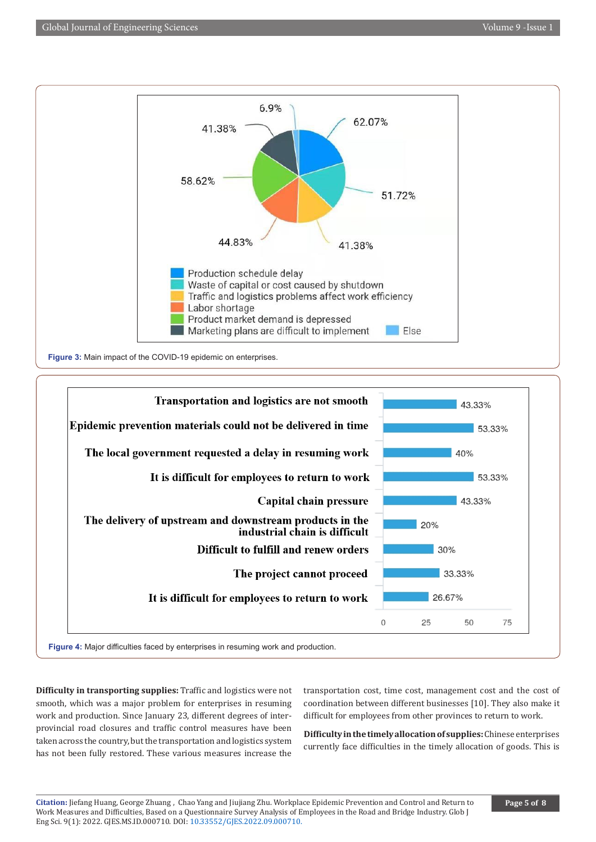



**Difficulty in transporting supplies:** Traffic and logistics were not smooth, which was a major problem for enterprises in resuming work and production. Since January 23, different degrees of interprovincial road closures and traffic control measures have been taken across the country, but the transportation and logistics system has not been fully restored. These various measures increase the

transportation cost, time cost, management cost and the cost of coordination between different businesses [10]. They also make it difficult for employees from other provinces to return to work.

**Difficulty in the timely allocation of supplies:** Chinese enterprises currently face difficulties in the timely allocation of goods. This is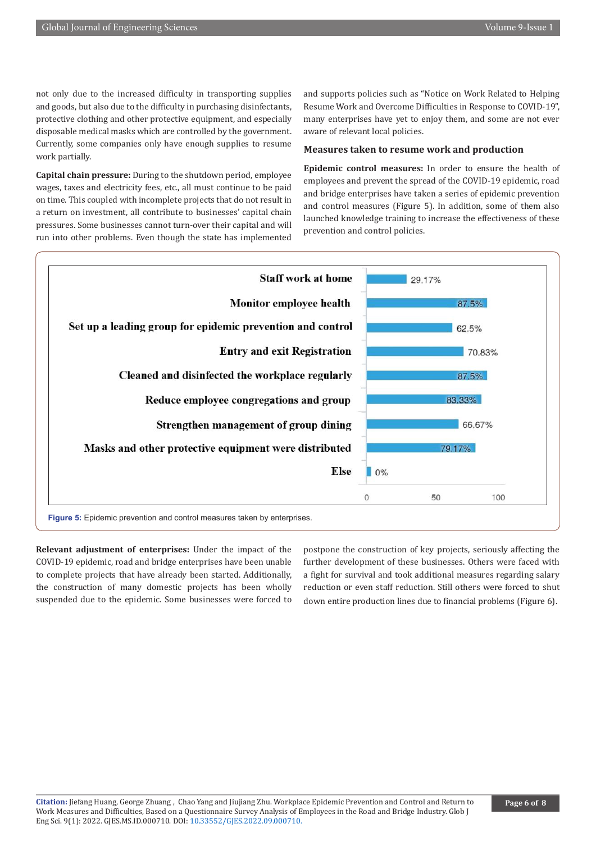not only due to the increased difficulty in transporting supplies and goods, but also due to the difficulty in purchasing disinfectants, protective clothing and other protective equipment, and especially disposable medical masks which are controlled by the government. Currently, some companies only have enough supplies to resume work partially.

and supports policies such as "Notice on Work Related to Helping Resume Work and Overcome Difficulties in Response to COVID-19", many enterprises have yet to enjoy them, and some are not ever aware of relevant local policies.

## **Measures taken to resume work and production**

**Capital chain pressure:** During to the shutdown period, employee wages, taxes and electricity fees, etc., all must continue to be paid on time. This coupled with incomplete projects that do not result in a return on investment, all contribute to businesses' capital chain pressures. Some businesses cannot turn-over their capital and will run into other problems. Even though the state has implemented

**Epidemic control measures:** In order to ensure the health of employees and prevent the spread of the COVID-19 epidemic, road and bridge enterprises have taken a series of epidemic prevention and control measures (Figure 5). In addition, some of them also launched knowledge training to increase the effectiveness of these prevention and control policies.



**Relevant adjustment of enterprises:** Under the impact of the COVID-19 epidemic, road and bridge enterprises have been unable to complete projects that have already been started. Additionally, the construction of many domestic projects has been wholly suspended due to the epidemic. Some businesses were forced to

postpone the construction of key projects, seriously affecting the further development of these businesses. Others were faced with a fight for survival and took additional measures regarding salary reduction or even staff reduction. Still others were forced to shut down entire production lines due to financial problems (Figure 6).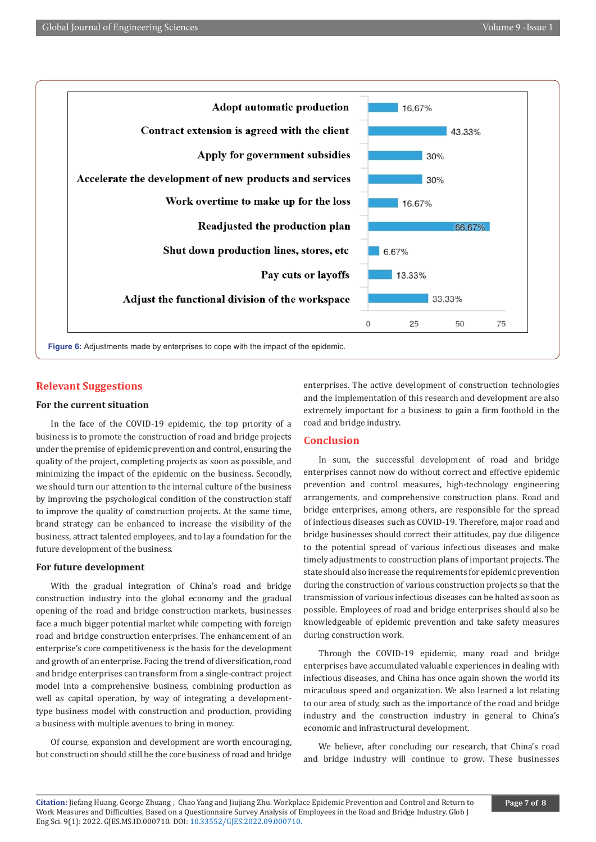

## **Relevant Suggestions**

## **For the current situation**

In the face of the COVID-19 epidemic, the top priority of a business is to promote the construction of road and bridge projects under the premise of epidemic prevention and control, ensuring the quality of the project, completing projects as soon as possible, and minimizing the impact of the epidemic on the business. Secondly, we should turn our attention to the internal culture of the business by improving the psychological condition of the construction staff to improve the quality of construction projects. At the same time, brand strategy can be enhanced to increase the visibility of the business, attract talented employees, and to lay a foundation for the future development of the business.

#### **For future development**

With the gradual integration of China's road and bridge construction industry into the global economy and the gradual opening of the road and bridge construction markets, businesses face a much bigger potential market while competing with foreign road and bridge construction enterprises. The enhancement of an enterprise's core competitiveness is the basis for the development and growth of an enterprise. Facing the trend of diversification, road and bridge enterprises can transform from a single-contract project model into a comprehensive business, combining production as well as capital operation, by way of integrating a developmenttype business model with construction and production, providing a business with multiple avenues to bring in money.

Of course, expansion and development are worth encouraging, but construction should still be the core business of road and bridge enterprises. The active development of construction technologies and the implementation of this research and development are also extremely important for a business to gain a firm foothold in the road and bridge industry.

#### **Conclusion**

In sum, the successful development of road and bridge enterprises cannot now do without correct and effective epidemic prevention and control measures, high-technology engineering arrangements, and comprehensive construction plans. Road and bridge enterprises, among others, are responsible for the spread of infectious diseases such as COVID-19. Therefore, major road and bridge businesses should correct their attitudes, pay due diligence to the potential spread of various infectious diseases and make timely adjustments to construction plans of important projects. The state should also increase the requirements for epidemic prevention during the construction of various construction projects so that the transmission of various infectious diseases can be halted as soon as possible. Employees of road and bridge enterprises should also be knowledgeable of epidemic prevention and take safety measures during construction work.

Through the COVID-19 epidemic, many road and bridge enterprises have accumulated valuable experiences in dealing with infectious diseases, and China has once again shown the world its miraculous speed and organization. We also learned a lot relating to our area of study, such as the importance of the road and bridge industry and the construction industry in general to China's economic and infrastructural development.

We believe, after concluding our research, that China's road and bridge industry will continue to grow. These businesses